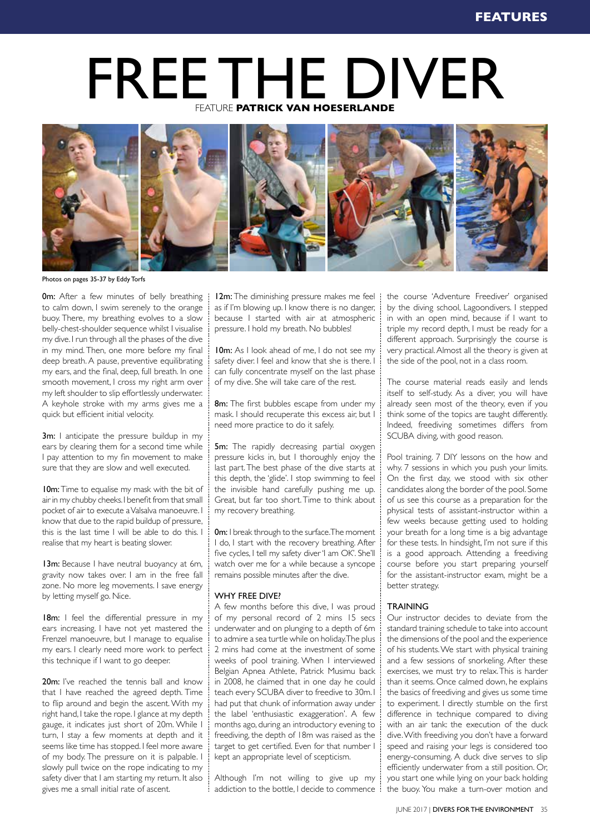# FREE THE DIVER FEATURE **PATRICK VAN HOESERLANDE**



Photos on pages 35-37 by Eddy Torfs

**0m:** After a few minutes of belly breathing i to calm down, I swim serenely to the orange buoy. There, my breathing evolves to a slow belly-chest-shoulder sequence whilst I visualise my dive. I run through all the phases of the dive in my mind. Then, one more before my final deep breath. A pause, preventive equilibrating my ears, and the final, deep, full breath. In one smooth movement, I cross my right arm over my left shoulder to slip effortlessly underwater. A keyhole stroke with my arms gives me a quick but efficient initial velocity.

**3m:** I anticipate the pressure buildup in my ears by clearing them for a second time while I pay attention to my fin movement to make sure that they are slow and well executed.

10m: Time to equalise my mask with the bit of air in my chubby cheeks. I benefit from that small pocket of air to execute a Valsalva manoeuvre. I know that due to the rapid buildup of pressure, this is the last time I will be able to do this. I realise that my heart is beating slower.

13m: Because I have neutral buoyancy at 6m, gravity now takes over. I am in the free fall zone. No more leg movements. I save energy by letting myself go. Nice.

18m: I feel the differential pressure in my ears increasing. I have not yet mastered the Frenzel manoeuvre, but I manage to equalise my ears. I clearly need more work to perfect this technique if I want to go deeper.

20m: I've reached the tennis ball and know that I have reached the agreed depth. Time to flip around and begin the ascent. With my right hand, I take the rope. I glance at my depth gauge, it indicates just short of 20m. While I turn, I stay a few moments at depth and it seems like time has stopped. I feel more aware of my body. The pressure on it is palpable. I slowly pull twice on the rope indicating to my safety diver that I am starting my return. It also gives me a small initial rate of ascent.

12m: The diminishing pressure makes me feel  $\mathcal{I}$ as if I'm blowing up. I know there is no danger, because I started with air at atmospheric pressure. I hold my breath. No bubbles!

10m: As I look ahead of me, I do not see my safety diver. I feel and know that she is there. I can fully concentrate myself on the last phase of my dive. She will take care of the rest.

8m: The first bubbles escape from under my mask. I should recuperate this excess air, but I need more practice to do it safely.

**5m:** The rapidly decreasing partial oxygen pressure kicks in, but I thoroughly enjoy the last part. The best phase of the dive starts at this depth, the 'glide'. I stop swimming to feel the invisible hand carefully pushing me up. Great, but far too short. Time to think about my recovery breathing.

**0m:** I break through to the surface. The moment I do, I start with the recovery breathing. After five cycles, I tell my safety diver 'I am OK'. She'll watch over me for a while because a syncope remains possible minutes after the dive.

# WHY FRFF DIVE?

A few months before this dive, I was proud of my personal record of 2 mins 15 secs underwater and on plunging to a depth of 6m to admire a sea turtle while on holiday. The plus 2 mins had come at the investment of some weeks of pool training. When I interviewed Belgian Apnea Athlete, Patrick Musimu back in 2008, he claimed that in one day he could teach every SCUBA diver to freedive to 30m. I had put that chunk of information away under the label 'enthusiastic exaggeration'. A few months ago, during an introductory evening to freediving, the depth of 18m was raised as the target to get certified. Even for that number I kept an appropriate level of scepticism.

Although I'm not willing to give up my addiction to the bottle, I decide to commence

the course 'Adventure Freediver' organised by the diving school, Lagoondivers. I stepped in with an open mind, because if I want to triple my record depth, I must be ready for a different approach. Surprisingly the course is very practical. Almost all the theory is given at the side of the pool, not in a class room.

The course material reads easily and lends itself to self-study. As a diver, you will have already seen most of the theory, even if you think some of the topics are taught differently. Indeed, freediving sometimes differs from SCUBA diving, with good reason.

Pool training. 7 DIY lessons on the how and why. 7 sessions in which you push your limits. On the first day, we stood with six other candidates along the border of the pool. Some of us see this course as a preparation for the physical tests of assistant-instructor within a few weeks because getting used to holding your breath for a long time is a big advantage for these tests. In hindsight, I'm not sure if this is a good approach. Attending a freediving course before you start preparing yourself for the assistant-instructor exam, might be a better strategy.

# **TRAINING**

Our instructor decides to deviate from the standard training schedule to take into account the dimensions of the pool and the experience of his students. We start with physical training and a few sessions of snorkeling. After these exercises, we must try to relax. This is harder than it seems. Once calmed down, he explains the basics of freediving and gives us some time to experiment. I directly stumble on the first difference in technique compared to diving with an air tank: the execution of the duck dive. With freediving you don't have a forward speed and raising your legs is considered too energy-consuming. A duck dive serves to slip efficiently underwater from a still position. Or, you start one while lying on your back holding the buoy. You make a turn-over motion and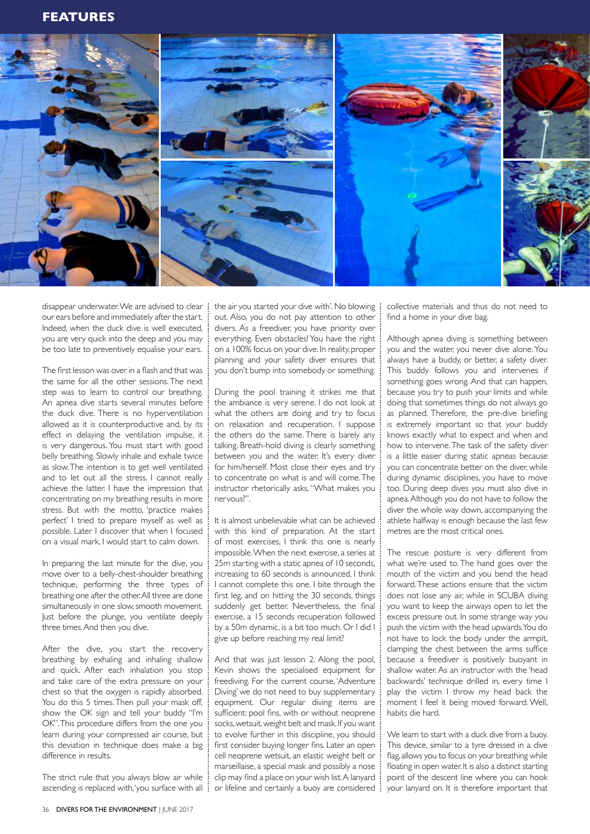

disappear underwater. We are advised to clear our ears before and immediately after the start. Indeed, when the duck dive is well executed, you are very quick into the deep and you may be too late to preventively equalise your ears.

The first lesson was over in a flash and that was the same for all the other sessions. The next step was to learn to control our breathing. An apnea dive starts several minutes before the duck dive. There is no hyperventilation allowed as it is counterproductive and, by its effect in delaying the ventilation impulse, it is very dangerous. You must start with good belly breathing. Slowly inhale and exhale twice as slow. The intention is to get well ventilated and to let out all the stress. I cannot really achieve the latter. I have the impression that concentrating on my breathing results in more stress. But with the motto, 'practice makes perfect' I tried to prepare myself as well as possible. Later I discover that when I focused on a visual mark, I would start to calm down.

In preparing the last minute for the dive, you move over to a belly-chest-shoulder breathing technique, performing the three types of breathing one after the other. All three are done simultaneously in one slow, smooth movement. Just before the plunge, you ventilate deeply three times. And then you dive.

After the dive, you start the recovery breathing by exhaling and inhaling shallow and quick. After each inhalation you stop and take care of the extra pressure on your chest so that the oxygen is rapidly absorbed. You do this 5 times. Then pull your mask off, show the OK sign and tell your buddy "I'm OK". This procedure differs from the one you learn during your compressed air course, but this deviation in technique does make a big difference in results.

The strict rule that you always blow air while ascending is replaced with, 'you surface with all the air you started your dive with'. No blowing out. Also, you do not pay attention to other divers. As a freediver, you have priority over everything. Even obstacles! You have the right on a 100% focus on your dive. In reality, proper planning and your safety diver ensures that you don't bump into somebody or something.

During the pool training it strikes me that the ambiance is very serene. I do not look at what the others are doing and try to focus on relaxation and recuperation. I suppose the others do the same. There is barely any talking. Breath-hold diving is clearly something between you and the water. It's every diver for him/herself. Most close their eyes and try to concentrate on what is and will come. The instructor rhetorically asks, "What makes you nervous?".

It is almost unbelievable what can be achieved with this kind of preparation. At the start of most exercises, I think this one is nearly impossible. When the next exercise, a series at 25m starting with a static apnea of 10 seconds, increasing to 60 seconds is announced, I think I cannot complete this one. I bite through the first leg, and on hitting the 30 seconds, things suddenly get better. Nevertheless, the final exercise, a 15 seconds recuperation followed by a 50m dynamic, is a bit too much. Or I did I give up before reaching my real limit?

And that was just lesson 2. Along the pool, Kevin shows the specialised equipment for freediving. For the current course, 'Adventure Diving' we do not need to buy supplementary equipment. Our regular diving items are sufficient: pool fins, with or without neoprene socks, wetsuit, weight belt and mask. If you want to evolve further in this discipline, you should first consider buying longer fins. Later an open cell neoprene wetsuit, an elastic weight belt or marseillaise, a special mask and possibly a nose clip may find a place on your wish list. A lanyard or lifeline and certainly a buoy are considered collective materials and thus do not need to find a home in your dive bag.

Although apnea diving is something between you and the water, you never dive alone. You always have a buddy, or better, a safety diver. This buddy follows you and intervenes if something goes wrong. And that can happen, because you try to push your limits and while doing that sometimes things do not always go as planned. Therefore, the pre-dive briefing is extremely important so that your buddy knows exactly what to expect and when and how to intervene. The task of the safety diver is a little easier during static apneas because you can concentrate better on the diver, while during dynamic disciplines, you have to move too. During deep dives you must also dive in apnea. Although you do not have to follow the diver the whole way down, accompanying the athlete halfway is enough because the last few metres are the most critical ones.

The rescue posture is very different from what we're used to. The hand goes over the mouth of the victim and you bend the head forward. These actions ensure that the victim does not lose any air, while in SCUBA diving you want to keep the airways open to let the excess pressure out. In some strange way you push the victim with the head upwards. You do not have to lock the body under the armpit, clamping the chest between the arms suffice because a freediver is positively buoyant in shallow water. As an instructor with the 'head backwards' technique drilled in, every time I play the victim I throw my head back the moment I feel it being moved forward. Well, habits die hard.

We learn to start with a duck dive from a buoy. This device, similar to a tyre dressed in a dive flag, allows you to focus on your breathing while floating in open water. It is also a distinct starting point of the descent line where you can hook your lanyard on. It is therefore important that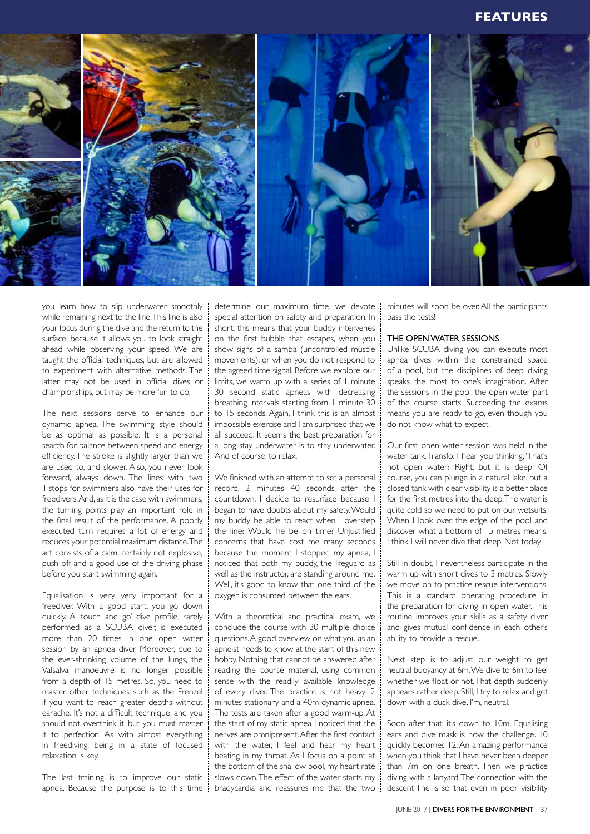# **FEATURES**



you learn how to slip underwater smoothly while remaining next to the line. This line is also your focus during the dive and the return to the surface, because it allows you to look straight ahead while observing your speed. We are taught the official techniques, but are allowed to experiment with alternative methods. The latter may not be used in official dives or championships, but may be more fun to do.

The next sessions serve to enhance our dynamic apnea. The swimming style should be as optimal as possible. It is a personal search for balance between speed and energy efficiency. The stroke is slightly larger than we are used to, and slower. Also, you never look forward, always down. The lines with two T-stops for swimmers also have their uses for freedivers. And, as it is the case with swimmers, the turning points play an important role in the final result of the performance. A poorly executed turn requires a lot of energy and reduces your potential maximum distance. The art consists of a calm, certainly not explosive, push off and a good use of the driving phase before you start swimming again.

Equalisation is very, very important for a freediver. With a good start, you go down quickly. A 'touch and go' dive profile, rarely performed as a SCUBA diver, is executed more than 20 times in one open water session by an apnea diver. Moreover, due to the ever-shrinking volume of the lungs, the Valsalva manoeuvre is no longer possible from a depth of 15 metres. So, you need to master other techniques such as the Frenzel if you want to reach greater depths without earache. It's not a difficult technique, and you should not overthink it, but you must master it to perfection. As with almost everything in freediving, being in a state of focused relaxation is key.

The last training is to improve our static apnea. Because the purpose is to this time

determine our maximum time, we devote special attention on safety and preparation. In short, this means that your buddy intervenes on the first bubble that escapes, when you show signs of a samba (uncontrolled muscle movements), or when you do not respond to the agreed time signal. Before we explore our limits, we warm up with a series of 1 minute 30 second static apneas with decreasing breathing intervals starting from 1 minute 30 to 15 seconds. Again, I think this is an almost impossible exercise and I am surprised that we all succeed. It seems the best preparation for a long stay underwater is to stay underwater. And of course, to relax.

We finished with an attempt to set a personal record. 2 minutes 40 seconds after the countdown, I decide to resurface because I began to have doubts about my safety. Would my buddy be able to react when I overstep the line? Would he be on time? Unjustified concerns that have cost me many seconds because the moment I stopped my apnea, I noticed that both my buddy, the lifeguard as well as the instructor, are standing around me. Well, it's good to know that one third of the oxygen is consumed between the ears.

With a theoretical and practical exam, we conclude the course with 30 multiple choice questions. A good overview on what you as an apneist needs to know at the start of this new hobby. Nothing that cannot be answered after reading the course material, using common sense with the readily available knowledge of every diver. The practice is not heavy: 2 minutes stationary and a 40m dynamic apnea. The tests are taken after a good warm-up. At the start of my static apnea I noticed that the nerves are omnipresent. After the first contact with the water, I feel and hear my heart beating in my throat. As I focus on a point at the bottom of the shallow pool, my heart rate slows down. The effect of the water starts my bradycardia and reassures me that the two

minutes will soon be over. All the participants pass the tests!

# THE OPEN WATER SESSIONS

Unlike SCUBA diving you can execute most apnea dives within the constrained space of a pool, but the disciplines of deep diving speaks the most to one's imagination. After the sessions in the pool, the open water part of the course starts. Succeeding the exams means you are ready to go, even though you do not know what to expect.

Our first open water session was held in the water tank, Transfo. I hear you thinking, 'That's not open water? Right, but it is deep. Of course, you can plunge in a natural lake, but a closed tank with clear visibility is a better place for the first metres into the deep. The water is quite cold so we need to put on our wetsuits. When I look over the edge of the pool and discover what a bottom of 15 metres means, I think I will never dive that deep. Not today.

Still in doubt, I nevertheless participate in the warm up with short dives to 3 metres. Slowly we move on to practice rescue interventions. This is a standard operating procedure in the preparation for diving in open water. This routine improves your skills as a safety diver and gives mutual confidence in each other's ability to provide a rescue.

Next step is to adjust our weight to get neutral buoyancy at 6m. We dive to 6m to feel whether we float or not. That depth suddenly appears rather deep. Still, I try to relax and get down with a duck dive. I'm, neutral.

Soon after that, it's down to 10m. Equalising ears and dive mask is now the challenge. 10 quickly becomes 12. An amazing performance when you think that I have never been deeper than 7m on one breath. Then we practice diving with a lanyard. The connection with the descent line is so that even in poor visibility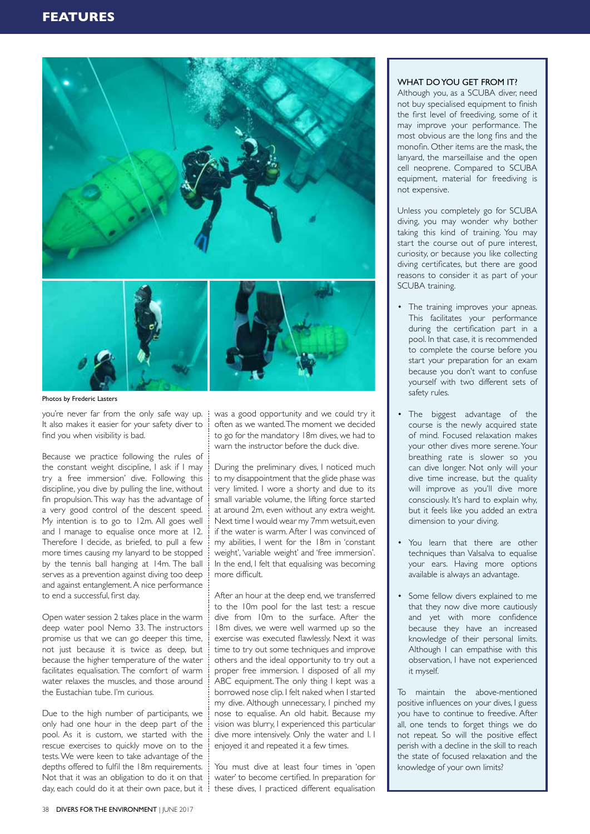

Photos by Frederic Lasters

you're never far from the only safe way up. It also makes it easier for your safety diver to find you when visibility is bad.

Because we practice following the rules of the constant weight discipline, I ask if I may try a free immersion' dive. Following this discipline, you dive by pulling the line, without fin propulsion. This way has the advantage of a very good control of the descent speed. My intention is to go to 12m. All goes well and I manage to equalise once more at 12. Therefore I decide, as briefed, to pull a few more times causing my lanyard to be stopped by the tennis ball hanging at 14m. The ball serves as a prevention against diving too deep and against entanglement. A nice performance to end a successful, first day.

Open water session 2 takes place in the warm deep water pool Nemo 33. The instructors promise us that we can go deeper this time, not just because it is twice as deep, but because the higher temperature of the water facilitates equalisation. The comfort of warm water relaxes the muscles, and those around the Eustachian tube. I'm curious.

Due to the high number of participants, we only had one hour in the deep part of the pool. As it is custom, we started with the rescue exercises to quickly move on to the tests. We were keen to take advantage of the depths offered to fulfil the 18m requirements. Not that it was an obligation to do it on that day, each could do it at their own pace, but it these dives, I practiced different equalisation

was a good opportunity and we could try it often as we wanted. The moment we decided to go for the mandatory 18m dives, we had to warn the instructor before the duck dive.

During the preliminary dives, I noticed much to my disappointment that the glide phase was very limited. I wore a shorty and due to its small variable volume, the lifting force started at around 2m, even without any extra weight. Next time I would wear my 7mm wetsuit, even if the water is warm. After I was convinced of my abilities, I went for the 18m in 'constant weight', 'variable weight' and 'free immersion'. In the end, I felt that equalising was becoming more difficult.

After an hour at the deep end, we transferred to the 10m pool for the last test: a rescue dive from 10m to the surface. After the 18m dives, we were well warmed up so the exercise was executed flawlessly. Next it was time to try out some techniques and improve others and the ideal opportunity to try out a proper free immersion. I disposed of all my ABC equipment. The only thing I kept was a borrowed nose clip. I felt naked when I started my dive. Although unnecessary, I pinched my nose to equalise. An old habit. Because my vision was blurry, I experienced this particular dive more intensively. Only the water and I. I enjoyed it and repeated it a few times.

You must dive at least four times in 'open water' to become certified. In preparation for

# WHAT DO YOU GET FROM IT?

Although you, as a SCUBA diver, need not buy specialised equipment to finish the first level of freediving, some of it may improve your performance. The most obvious are the long fins and the monofin. Other items are the mask, the lanyard, the marseillaise and the open cell neoprene. Compared to SCUBA equipment, material for freediving is not expensive.

Unless you completely go for SCUBA diving, you may wonder why bother taking this kind of training. You may start the course out of pure interest, curiosity, or because you like collecting diving certificates, but there are good reasons to consider it as part of your SCUBA training.

- The training improves your apneas. This facilitates your performance during the certification part in a pool. In that case, it is recommended to complete the course before you start your preparation for an exam because you don't want to confuse yourself with two different sets of safety rules.
- The biggest advantage of the course is the newly acquired state of mind. Focused relaxation makes your other dives more serene. Your breathing rate is slower so you can dive longer. Not only will your dive time increase, but the quality will improve as you'll dive more consciously. It's hard to explain why, but it feels like you added an extra dimension to your diving.
- You learn that there are other techniques than Valsalva to equalise your ears. Having more options available is always an advantage.
- Some fellow divers explained to me that they now dive more cautiously and yet with more confidence because they have an increased knowledge of their personal limits. Although I can empathise with this observation, I have not experienced it myself.

To maintain the above-mentioned positive influences on your dives, I guess you have to continue to freedive. After all, one tends to forget things we do not repeat. So will the positive effect perish with a decline in the skill to reach the state of focused relaxation and the knowledge of your own limits?